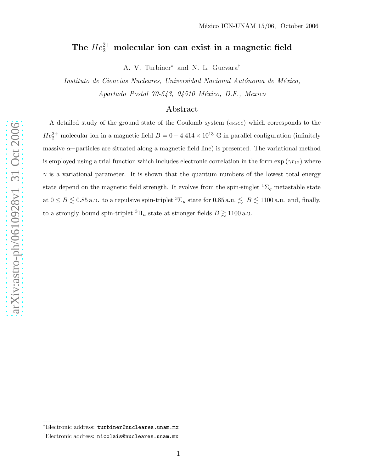# The  $He_2^{2+}$  molecular ion can exist in a magnetic field

A. V. Turbiner<sup>\*</sup> and N. L. Guevara<sup>†</sup>

Instituto de Ciencias Nucleares, Universidad Nacional Autónoma de México, Apartado Postal 70-543, 04510 México, D.F., Mexico

## Abstract

A detailed study of the ground state of the Coulomb system  $(\alpha \alpha ee)$  which corresponds to the  $He_2^{2+}$  molecular ion in a magnetic field  $B = 0 - 4.414 \times 10^{13}$  G in parallel configuration (infinitely massive  $\alpha$ -particles are situated along a magnetic field line) is presented. The variational method is employed using a trial function which includes electronic correlation in the form  $\exp(\gamma r_{12})$  where  $\gamma$  is a variational parameter. It is shown that the quantum numbers of the lowest total energy state depend on the magnetic field strength. It evolves from the spin-singlet  ${}^{1}\Sigma_{g}$  metastable state at  $0 \le B \lesssim 0.85$  a.u. to a repulsive spin-triplet  ${}^3\Sigma_u$  state for  $0.85$  a.u.  $\lesssim B \lesssim 1100$  a.u. and, finally, to a strongly bound spin-triplet  ${}^{3}\Pi_{u}$  state at stronger fields  $B \gtrsim 1100$  a.u.

<sup>†</sup>Electronic address: nicolais@nucleares.unam.mx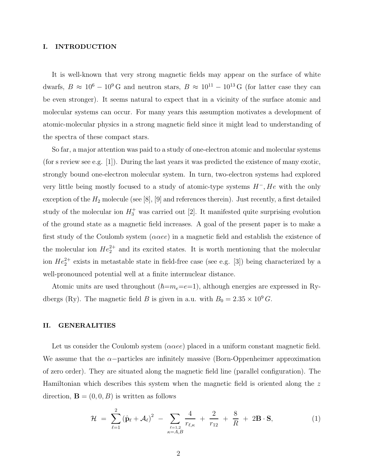### I. INTRODUCTION

It is well-known that very strong magnetic fields may appear on the surface of white dwarfs,  $B \approx 10^6 - 10^9$  G and neutron stars,  $B \approx 10^{11} - 10^{13}$  G (for latter case they can be even stronger). It seems natural to expect that in a vicinity of the surface atomic and molecular systems can occur. For many years this assumption motivates a development of atomic-molecular physics in a strong magnetic field since it might lead to understanding of the spectra of these compact stars.

So far, a major attention was paid to a study of one-electron atomic and molecular systems (for s review see e.g. [1]). During the last years it was predicted the existence of many exotic, strongly bound one-electron molecular system. In turn, two-electron systems had explored very little being mostly focused to a study of atomic-type systems  $H^-$ , He with the only exception of the  $H_2$  molecule (see [8], [9] and references therein). Just recently, a first detailed study of the molecular ion  $H_3^+$  was carried out [2]. It manifested quite surprising evolution of the ground state as a magnetic field increases. A goal of the present paper is to make a first study of the Coulomb system ( $\alpha \alpha ee$ ) in a magnetic field and establish the existence of the molecular ion  $He_2^{2+}$  and its excited states. It is worth mentioning that the molecular ion  $He_2^{2+}$  exists in metastable state in field-free case (see e.g. [3]) being characterized by a well-pronounced potential well at a finite internuclear distance.

Atomic units are used throughout  $(\hbar=m_e=e=1)$ , although energies are expressed in Rydbergs (Ry). The magnetic field B is given in a.u. with  $B_0 = 2.35 \times 10^9 G$ .

#### II. GENERALITIES

Let us consider the Coulomb system ( $\alpha \alpha ee$ ) placed in a uniform constant magnetic field. We assume that the  $\alpha$ -particles are infinitely massive (Born-Oppenheimer approximation of zero order). They are situated along the magnetic field line (parallel configuration). The Hamiltonian which describes this system when the magnetic field is oriented along the z direction,  $\mathbf{B} = (0, 0, B)$  is written as follows

$$
\mathcal{H} = \sum_{\ell=1}^{2} (\hat{\mathbf{p}}_{\ell} + \mathcal{A}_{\ell})^2 - \sum_{\ell=1,2 \atop \kappa = A, B} \frac{4}{r_{\ell,\kappa}} + \frac{2}{r_{12}} + \frac{8}{R} + 2\mathbf{B} \cdot \mathbf{S},
$$
(1)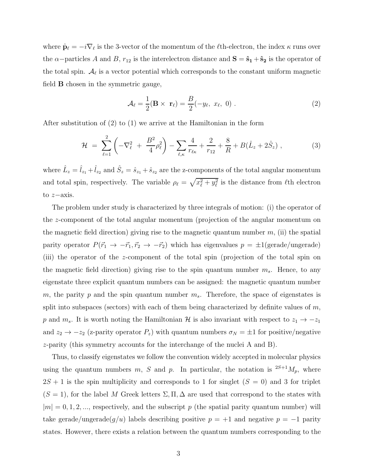where  $\hat{\mathbf{p}}_{\ell} = -i\nabla_{\ell}$  is the 3-vector of the momentum of the  $\ell$ th-electron, the index  $\kappa$  runs over the  $\alpha$ -particles A and B,  $r_{12}$  is the interelectron distance and  $\mathbf{S} = \hat{\mathbf{s}}_1 + \hat{\mathbf{s}}_2$  is the operator of the total spin.  $A_{\ell}$  is a vector potential which corresponds to the constant uniform magnetic field B chosen in the symmetric gauge,

$$
\mathcal{A}_{\ell} = \frac{1}{2}(\mathbf{B} \times \mathbf{r}_{\ell}) = \frac{B}{2}(-y_{\ell}, x_{\ell}, 0) .
$$
 (2)

After substitution of (2) to (1) we arrive at the Hamiltonian in the form

$$
\mathcal{H} = \sum_{\ell=1}^{2} \left( -\nabla_{\ell}^{2} + \frac{B^{2}}{4} \rho_{\ell}^{2} \right) - \sum_{\ell,\kappa} \frac{4}{r_{\ell\kappa}} + \frac{2}{r_{12}} + \frac{8}{R} + B(\hat{L}_{z} + 2\hat{S}_{z}) , \qquad (3)
$$

where  $\hat{L}_z = \hat{l}_{z_1} + \hat{l}_{z_2}$  and  $\hat{S}_z = \hat{s}_{z_1} + \hat{s}_{z_2}$  are the z-components of the total angular momentum and total spin, respectively. The variable  $\rho_{\ell} = \sqrt{x_{\ell}^2 + y_{\ell}^2}$  is the distance from  $\ell$ th electron to z−axis.

The problem under study is characterized by three integrals of motion: (i) the operator of the z-component of the total angular momentum (projection of the angular momentum on the magnetic field direction) giving rise to the magnetic quantum number  $m$ , (ii) the spatial parity operator  $P(\vec{r}_1 \rightarrow -\vec{r}_1, \vec{r}_2 \rightarrow -\vec{r}_2)$  which has eigenvalues  $p = \pm 1$ (gerade/ungerade) (iii) the operator of the z-component of the total spin (projection of the total spin on the magnetic field direction) giving rise to the spin quantum number  $m_s$ . Hence, to any eigenstate three explicit quantum numbers can be assigned: the magnetic quantum number m, the parity p and the spin quantum number  $m_s$ . Therefore, the space of eigenstates is split into subspaces (sectors) with each of them being characterized by definite values of  $m$ , p and  $m_s$ . It is worth noting the Hamiltonian H is also invariant with respect to  $z_1 \rightarrow -z_1$ and  $z_2 \rightarrow -z_2$  (z-parity operator  $P_z$ ) with quantum numbers  $\sigma_N = \pm 1$  for positive/negative z-parity (this symmetry accounts for the interchange of the nuclei A and B).

Thus, to classify eigenstates we follow the convention widely accepted in molecular physics using the quantum numbers m, S and p. In particular, the notation is  $^{2S+1}M_p$ , where  $2S + 1$  is the spin multiplicity and corresponds to 1 for singlet  $(S = 0)$  and 3 for triplet  $(S = 1)$ , for the label M Greek letters  $\Sigma$ ,  $\Pi$ ,  $\Delta$  are used that correspond to the states with  $|m| = 0, 1, 2, \ldots$ , respectively, and the subscript p (the spatial parity quantum number) will take gerade/ungerade $(g/u)$  labels describing positive  $p = +1$  and negative  $p = -1$  parity states. However, there exists a relation between the quantum numbers corresponding to the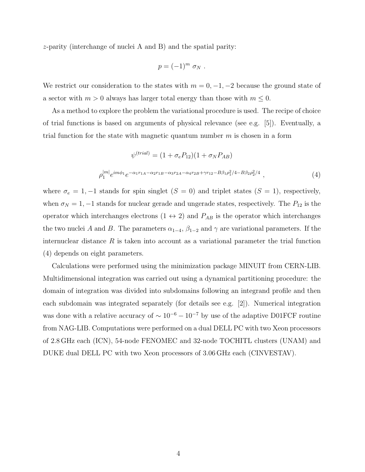z-parity (interchange of nuclei A and B) and the spatial parity:

$$
p=(-1)^m \sigma_N.
$$

We restrict our consideration to the states with  $m = 0, -1, -2$  because the ground state of a sector with  $m > 0$  always has larger total energy than those with  $m \leq 0$ .

As a method to explore the problem the variational procedure is used. The recipe of choice of trial functions is based on arguments of physical relevance (see e.g. [5]). Eventually, a trial function for the state with magnetic quantum number  $m$  is chosen in a form

$$
\psi^{(trial)} = (1 + \sigma_e P_{12})(1 + \sigma_N P_{AB})
$$

$$
\rho_1^{|m|} e^{im\phi_1} e^{-\alpha_1 r_{1A} - \alpha_2 r_{1B} - \alpha_3 r_{2A} - \alpha_4 r_{2B} + \gamma r_{12} - B\beta_1 \rho_1^2/4 - B\beta_2 \rho_2^2/4},
$$
(4)

where  $\sigma_e = 1, -1$  stands for spin singlet  $(S = 0)$  and triplet states  $(S = 1)$ , respectively, when  $\sigma_N = 1, -1$  stands for nuclear gerade and ungerade states, respectively. The  $P_{12}$  is the operator which interchanges electrons  $(1 \leftrightarrow 2)$  and  $P_{AB}$  is the operator which interchanges the two nuclei A and B. The parameters  $\alpha_{1-4}$ ,  $\beta_{1-2}$  and  $\gamma$  are variational parameters. If the internuclear distance  $R$  is taken into account as a variational parameter the trial function (4) depends on eight parameters.

Calculations were performed using the minimization package MINUIT from CERN-LIB. Multidimensional integration was carried out using a dynamical partitioning procedure: the domain of integration was divided into subdomains following an integrand profile and then each subdomain was integrated separately (for details see e.g. [2]). Numerical integration was done with a relative accuracy of  $\sim 10^{-6} - 10^{-7}$  by use of the adaptive D01FCF routine from NAG-LIB. Computations were performed on a dual DELL PC with two Xeon processors of 2.8 GHz each (ICN), 54-node FENOMEC and 32-node TOCHITL clusters (UNAM) and DUKE dual DELL PC with two Xeon processors of 3.06 GHz each (CINVESTAV).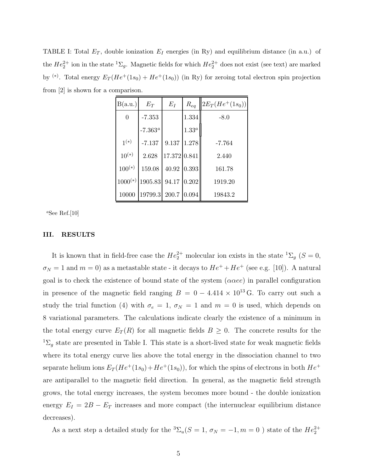TABLE I: Total  $E_T$ , double ionization  $E_I$  energies (in Ry) and equilibrium distance (in a.u.) of the  $He_2^{2+}$  ion in the state  ${}^{1}\Sigma_g$ . Magnetic fields for which  $He_2^{2+}$  does not exist (see text) are marked by <sup>(\*)</sup>. Total energy  $E_T(He^+(1s_0) + He^+(1s_0))$  (in Ry) for zeroing total electron spin projection from [2] is shown for a comparison.

| B(a.u.)        | $E_T$            | $E_I$                | $R_{eq}$ | $2E_T(He^{+}(1s_0))$ |
|----------------|------------------|----------------------|----------|----------------------|
| $\overline{0}$ | $-7.353$         |                      | 1.334    | $-8.0$               |
|                | $-7.363^{\circ}$ |                      | $1.33^a$ |                      |
| $1^{(*)}$      | $-7.137$         | $\boldsymbol{9.137}$ | 1.278    | $-7.764$             |
| $10^{(*)}$     | 2.628            | 17.372 0.841         |          | 2.440                |
| $100^{(*)}$    | 159.08           | 40.92                | 0.393    | 161.78               |
| $1000(*)$      | 1905.83          | 94.17                | 0.202    | 1919.20              |
| 10000          | 19799.3          | 200.7                | 0.094    | 19843.2              |

<sup>a</sup>See Ref.[10]

#### III. RESULTS

It is known that in field-free case the  $He_2^{2+}$  molecular ion exists in the state  ${}^{1}\Sigma_g$  ( $S=0$ ,  $\sigma_N = 1$  and  $m = 0$ ) as a metastable state - it decays to  $He^+ + He^+$  (see e.g. [10]). A natural goal is to check the existence of bound state of the system  $(\alpha \alpha ee)$  in parallel configuration in presence of the magnetic field ranging  $B = 0 - 4.414 \times 10^{13}$  G. To carry out such a study the trial function (4) with  $\sigma_e = 1$ ,  $\sigma_N = 1$  and  $m = 0$  is used, which depends on 8 variational parameters. The calculations indicate clearly the existence of a minimum in the total energy curve  $E_T(R)$  for all magnetic fields  $B \geq 0$ . The concrete results for the  ${}^{1}\Sigma_{g}$  state are presented in Table I. This state is a short-lived state for weak magnetic fields where its total energy curve lies above the total energy in the dissociation channel to two separate helium ions  $E_T(He^+(1s_0)+He^+(1s_0))$ , for which the spins of electrons in both  $He^+$ are antiparallel to the magnetic field direction. In general, as the magnetic field strength grows, the total energy increases, the system becomes more bound - the double ionization energy  $E_I = 2B - E_T$  increases and more compact (the internuclear equilibrium distance decreases).

As a next step a detailed study for the  ${}^3\Sigma_u(S=1,\,\sigma_N=-1, m=0$  ) state of the  $He_2^{2+}$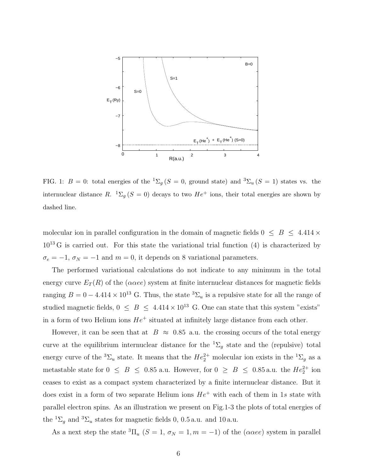

FIG. 1:  $B = 0$ : total energies of the  ${}^{1}\Sigma_{g} (S = 0, \text{ ground state})$  and  ${}^{3}\Sigma_{u} (S = 1)$  states vs. the internuclear distance R.  ${}^{1}\Sigma_{g} (S = 0)$  decays to two  $He^{+}$  ions, their total energies are shown by dashed line.

molecular ion in parallel configuration in the domain of magnetic fields  $0 \leq B \leq 4.414 \times$  $10^{13}$  G is carried out. For this state the variational trial function (4) is characterized by  $\sigma_e = -1$ ,  $\sigma_N = -1$  and  $m = 0$ , it depends on 8 variational parameters.

The performed variational calculations do not indicate to any minimum in the total energy curve  $E_T(R)$  of the ( $\alpha \alpha ee$ ) system at finite internuclear distances for magnetic fields ranging  $B = 0 - 4.414 \times 10^{13}$  G. Thus, the state  ${}^{3}\Sigma_u$  is a repulsive state for all the range of studied magnetic fields,  $0 \leq B \leq 4.414 \times 10^{13}$  G. One can state that this system "exists" in a form of two Helium ions  $He^+$  situated at infinitely large distance from each other.

However, it can be seen that at  $B \approx 0.85$  a.u. the crossing occurs of the total energy curve at the equilibrium internuclear distance for the  ${}^{1}\Sigma_{q}$  state and the (repulsive) total energy curve of the <sup>3</sup> $\Sigma_u$  state. It means that the  $He_2^{2+}$  molecular ion exists in the <sup>1</sup> $\Sigma_g$  as a metastable state for  $0 \leq B \leq 0.85$  a.u. However, for  $0 \geq B \leq 0.85$  a.u. the  $He_2^{2+}$  ion ceases to exist as a compact system characterized by a finite internuclear distance. But it does exist in a form of two separate Helium ions  $He<sup>+</sup>$  with each of them in 1s state with parallel electron spins. As an illustration we present on Fig.1-3 the plots of total energies of the  ${}^{1}\Sigma_{q}$  and  ${}^{3}\Sigma_{u}$  states for magnetic fields 0, 0.5 a.u. and 10 a.u.

As a next step the state  ${}^{3}\Pi_u$  (S = 1,  $\sigma_N = 1, m = -1$ ) of the ( $\alpha \alpha ee$ ) system in parallel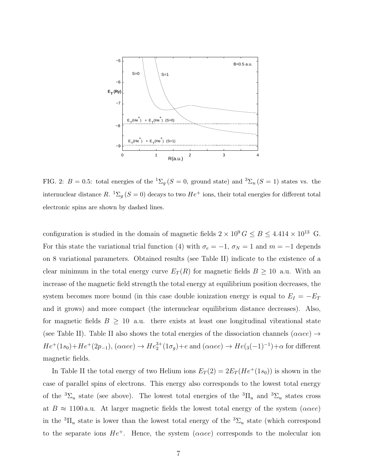

FIG. 2:  $B = 0.5$ : total energies of the  ${}^{1}\Sigma_{g}$  (S = 0, ground state) and  ${}^{3}\Sigma_{u}$  (S = 1) states vs. the internuclear distance R.  ${}^{1}\Sigma_{g}$  (S = 0) decays to two  $He^{+}$  ions, their total energies for different total electronic spins are shown by dashed lines.

configuration is studied in the domain of magnetic fields  $2 \times 10^9 G \le B \le 4.414 \times 10^{13}$  G. For this state the variational trial function (4) with  $\sigma_e = -1$ ,  $\sigma_N = 1$  and  $m = -1$  depends on 8 variational parameters. Obtained results (see Table II) indicate to the existence of a clear minimum in the total energy curve  $E_T(R)$  for magnetic fields  $B \geq 10$  a.u. With an increase of the magnetic field strength the total energy at equilibrium position decreases, the system becomes more bound (in this case double ionization energy is equal to  $E_I = -E_T$ and it grows) and more compact (the internuclear equilibrium distance decreases). Also, for magnetic fields  $B \geq 10$  a.u. there exists at least one longitudinal vibrational state (see Table II). Table II also shows the total energies of the dissociation channels ( $\alpha \alpha ee$ )  $\rightarrow$  $He^+(1s_0)+He^+(2p_{-1}), (\alpha \alpha ee) \rightarrow He_2^{3+}(1\sigma_g)+e$  and  $(\alpha \alpha ee) \rightarrow He_{3}(-1)^{-1})+\alpha$  for different magnetic fields.

In Table II the total energy of two Helium ions  $E_T(2) = 2E_T(He^+(1s_0))$  is shown in the case of parallel spins of electrons. This energy also corresponds to the lowest total energy of the  ${}^3\Sigma_u$  state (see above). The lowest total energies of the  ${}^3\Pi_u$  and  ${}^3\Sigma_u$  states cross at  $B \approx 1100$  a.u. At larger magnetic fields the lowest total energy of the system ( $\alpha \alpha ee$ ) in the  ${}^{3} \Pi_u$  state is lower than the lowest total energy of the  ${}^{3} \Sigma_u$  state (which correspond to the separate ions  $He^+$ . Hence, the system ( $\alpha \alpha ee$ ) corresponds to the molecular ion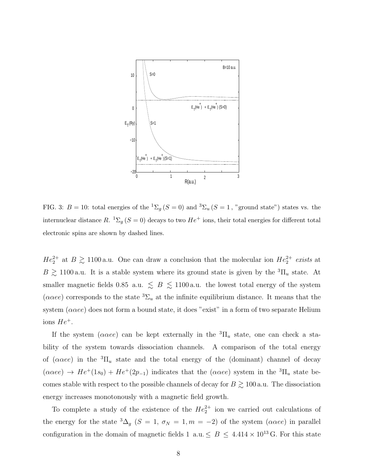

FIG. 3:  $B = 10$ : total energies of the  ${}^{1}\Sigma_{g} (S = 0)$  and  ${}^{3}\Sigma_{u} (S = 1,$  "ground state") states vs. the internuclear distance R.  ${}^{1}\Sigma_{g}$  (S = 0) decays to two  $He^{+}$  ions, their total energies for different total electronic spins are shown by dashed lines.

 $He_2^{2+}$  at  $B \gtrsim 1100$  a.u. One can draw a conclusion that the molecular ion  $He_2^{2+}$  exists at  $B \gtrsim 1100$  a.u. It is a stable system where its ground state is given by the  ${}^{3}$  $\Pi$ <sub>u</sub> state. At smaller magnetic fields 0.85 a.u.  $\leq B \leq 1100$  a.u. the lowest total energy of the system ( $\alpha \alpha ee$ ) corresponds to the state  ${}^3\Sigma_u$  at the infinite equilibrium distance. It means that the system  $(\alpha \alpha ee)$  does not form a bound state, it does "exist" in a form of two separate Helium ions  $He^+$ .

If the system ( $\alpha \alpha ee$ ) can be kept externally in the  ${}^{3} \Pi_u$  state, one can check a stability of the system towards dissociation channels. A comparison of the total energy of  $(\alpha \alpha ee)$  in the  ${}^{3} \Pi_u$  state and the total energy of the (dominant) channel of decay  $(\alpha \alpha ee) \rightarrow He^{+}(1s_0) + He^{+}(2p_{-1})$  indicates that the  $(\alpha \alpha ee)$  system in the  ${}^{3}$  $\Pi_u$  state becomes stable with respect to the possible channels of decay for  $B \gtrsim 100\,\mathrm{a.u.}$  The dissociation energy increases monotonously with a magnetic field growth.

To complete a study of the existence of the  $He_2^{2+}$  ion we carried out calculations of the energy for the state  ${}^{3}\Delta_g$  (S = 1,  $\sigma_N = 1, m = -2$ ) of the system ( $\alpha \alpha ee$ ) in parallel configuration in the domain of magnetic fields 1 a.u.  $\leq B \leq 4.414 \times 10^{13}$  G. For this state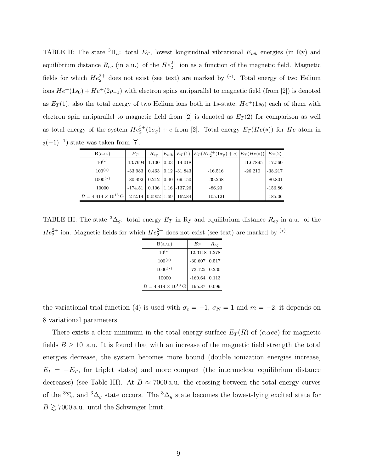TABLE II: The state  ${}^{3}$  $\Pi_u$ : total  $E_T$ , lowest longitudinal vibrational  $E_{vib}$  energies (in Ry) and equilibrium distance  $R_{eq}$  (in a.u.) of the  $He_2^{2+}$  ion as a function of the magnetic field. Magnetic fields for which  $He_2^{2+}$  does not exist (see text) are marked by <sup>(\*)</sup>. Total energy of two Helium ions  $He^{+}(1s_0) + He^{+}(2p_{-1})$  with electron spins antiparallel to magnetic field (from [2]) is denoted as  $E_T(1)$ , also the total energy of two Helium ions both in 1s-state,  $He^+(1s_0)$  each of them with electron spin antiparallel to magnetic field from [2] is denoted as  $E_T(2)$  for comparison as well as total energy of the system  $He_2^{3+}(1\sigma_g)+e$  from [2]. Total energy  $E_T(He(*))$  for  $He$  atom in  $3(-1)^{-1}$ )-state was taken from [7].

| B(a.u.)                      | $E_T$                         | $R_{eq}$ |                              | $E_{vib}$ $E_T(1)$ $E_T(He_2^{3+}(1\sigma_g)+e)$ $E_T(He(*))$ $E_T(2)$ |             |           |
|------------------------------|-------------------------------|----------|------------------------------|------------------------------------------------------------------------|-------------|-----------|
| $10^{(*)}$                   | $-13.7694$ 1.100 0.03 -14.018 |          |                              |                                                                        | $-11.67895$ | $-17.560$ |
| $100^{(*)}$                  | $-33.983$                     |          | $0.463$   $0.12$   $-31.843$ | $-16.516$                                                              | $-26.210$   | $-38.217$ |
| $1000(*)$                    | $-80.492$                     |          | $0.212$ 0.40 -69.150         | $-39.268$                                                              |             | $-80.801$ |
| 10000                        | $-174.51$                     |          | $0.106$   1.16   -137.26     | $-86.23$                                                               |             | $-156.86$ |
| $B = 4.414 \times 10^{13}$ G | $-212.14$ 0.0902 1.69 -162.84 |          |                              | $-105.121$                                                             |             | $-185.06$ |

TABLE III: The state  ${}^{3}\Delta_{g}$ : total energy  $E_T$  in Ry and equilibrium distance  $R_{eq}$  in a.u. of the  $He_2^{2+}$  ion. Magnetic fields for which  $He_2^{2+}$  does not exist (see text) are marked by <sup>(\*)</sup>.

| B(a.u.)                      | $E_T$              | Req   |
|------------------------------|--------------------|-------|
| $10^{(*)}$                   | $-12.3118$ 1.278   |       |
| $100^{(*)}$                  | $\textbf{-30.607}$ | 0.517 |
| $1000(*)$                    | $-73.125$ 0.230    |       |
| 10000                        | $-160.64$          | 0.113 |
| $B = 4.414 \times 10^{13}$ G | $-195.87$          | 0.099 |

the variational trial function (4) is used with  $\sigma_e = -1$ ,  $\sigma_N = 1$  and  $m = -2$ , it depends on 8 variational parameters.

There exists a clear minimum in the total energy surface  $E_T(R)$  of  $(\alpha \alpha ee)$  for magnetic fields  $B \ge 10$  a.u. It is found that with an increase of the magnetic field strength the total energies decrease, the system becomes more bound (double ionization energies increase,  $E_I = -E_T$ , for triplet states) and more compact (the internuclear equilibrium distance decreases) (see Table III). At  $B \approx 7000$  a.u. the crossing between the total energy curves of the <sup>3</sup> $\Sigma_u$  and <sup>3</sup> $\Delta_g$  state occurs. The <sup>3</sup> $\Delta_g$  state becomes the lowest-lying excited state for  $B \gtrsim 7000$  a.u. until the Schwinger limit.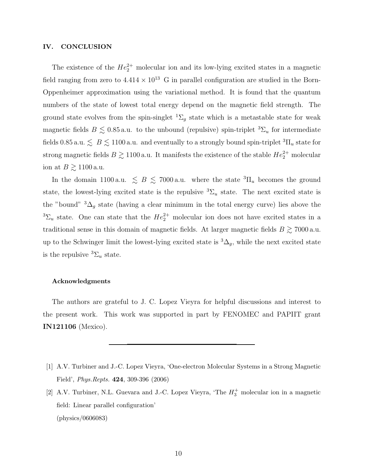#### IV. CONCLUSION

The existence of the  $He_2^{2+}$  molecular ion and its low-lying excited states in a magnetic field ranging from zero to  $4.414 \times 10^{13}$  G in parallel configuration are studied in the Born-Oppenheimer approximation using the variational method. It is found that the quantum numbers of the state of lowest total energy depend on the magnetic field strength. The ground state evolves from the spin-singlet  ${}^{1}\Sigma_{g}$  state which is a metastable state for weak magnetic fields  $B \leq 0.85$  a.u. to the unbound (repulsive) spin-triplet  ${}^{3}\Sigma_{u}$  for intermediate fields 0.85 a.u.  $\lesssim B \lesssim 1100$  a.u. and eventually to a strongly bound spin-triplet  ${}^{3}$  $\Pi$ <sub>u</sub> state for strong magnetic fields  $B \gtrsim 1100$  a.u. It manifests the existence of the stable  $He_2^{2+}$  molecular ion at  $B \gtrsim 1100$  a.u.

In the domain 1100 a.u.  $\leq B \leq 7000$  a.u. where the state  ${}^{3}\Pi_u$  becomes the ground state, the lowest-lying excited state is the repulsive  ${}^{3}\Sigma_{u}$  state. The next excited state is the "bound"  ${}^{3}\Delta_{g}$  state (having a clear minimum in the total energy curve) lies above the <sup>3</sup> $\Sigma_u$  state. One can state that the  $He_2^{2+}$  molecular ion does not have excited states in a traditional sense in this domain of magnetic fields. At larger magnetic fields  $B \gtrsim 7000$  a.u. up to the Schwinger limit the lowest-lying excited state is  ${}^{3}\Delta_{g}$ , while the next excited state is the repulsive  ${}^{3}\Sigma_{u}$  state.

#### Acknowledgments

The authors are grateful to J. C. Lopez Vieyra for helpful discussions and interest to the present work. This work was supported in part by FENOMEC and PAPIIT grant IN121106 (Mexico).

- [1] A.V. Turbiner and J.-C. Lopez Vieyra, 'One-electron Molecular Systems in a Strong Magnetic Field', Phys.Repts. 424, 309-396 (2006)
- [2] A.V. Turbiner, N.L. Guevara and J.-C. Lopez Vieyra, 'The  $H_3^+$  molecular ion in a magnetic field: Linear parallel configuration' (physics/0606083)